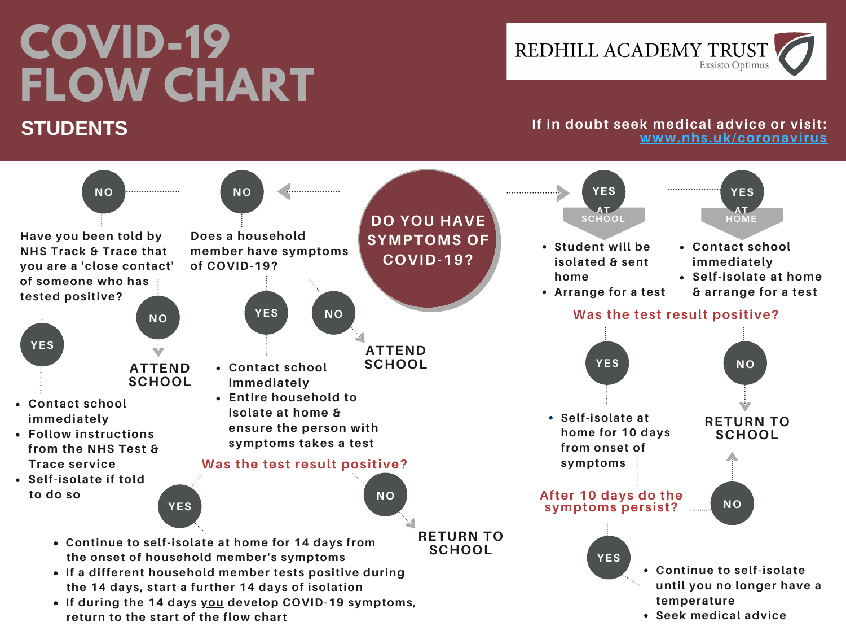# **COVID-19 FLOW CHART STUDENTS**

REDHILL ACADEMY TRUST **Exsisto Optimus** 

#### **If in doubt seek medical advice or visit: [www.nhs.uk/coronavirus](http://www.nhs.uk/coronavirus)**